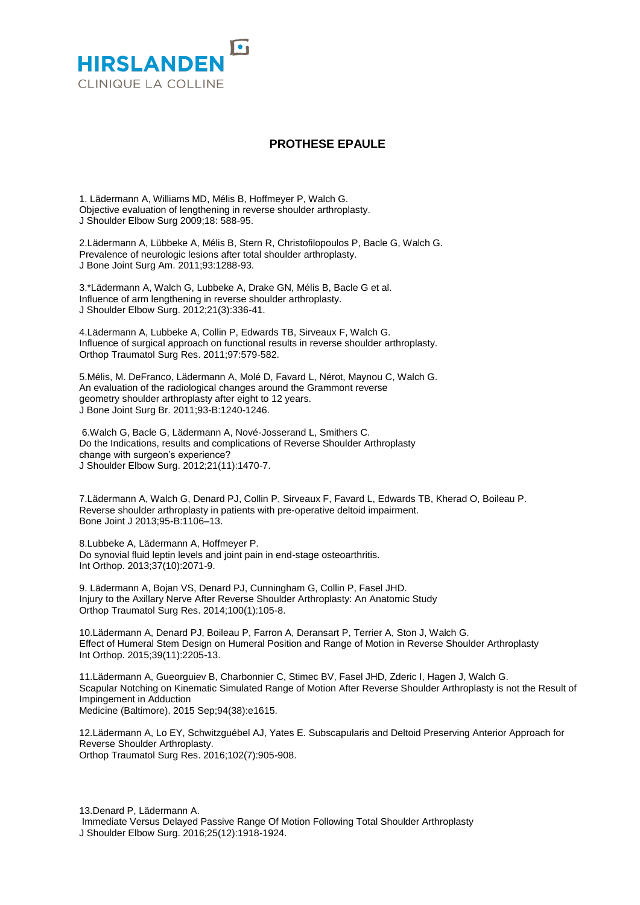

## **PROTHESE EPAULE**

1. Lädermann A, Williams MD, Mélis B, Hoffmeyer P, Walch G. Objective evaluation of lengthening in reverse shoulder arthroplasty. J Shoulder Elbow Surg 2009;18: 588-95.

2.Lädermann A, Lübbeke A, Mélis B, Stern R, Christofilopoulos P, Bacle G, Walch G. Prevalence of neurologic lesions after total shoulder arthroplasty. J Bone Joint Surg Am. 2011;93:1288-93.

3.\*Lädermann A, Walch G, Lubbeke A, Drake GN, Mélis B, Bacle G et al. Influence of arm lengthening in reverse shoulder arthroplasty. J Shoulder Elbow Surg. 2012;21(3):336-41.

4.Lädermann A, Lubbeke A, Collin P, Edwards TB, Sirveaux F, Walch G. Influence of surgical approach on functional results in reverse shoulder arthroplasty. Orthop Traumatol Surg Res. 2011;97:579-582.

5.Mélis, M. DeFranco, Lädermann A, Molé D, Favard L, Nérot, Maynou C, Walch G. An evaluation of the radiological changes around the Grammont reverse geometry shoulder arthroplasty after eight to 12 years. J Bone Joint Surg Br. 2011;93-B:1240-1246.

6.Walch G, Bacle G, Lädermann A, Nové-Josserand L, Smithers C. Do the Indications, results and complications of Reverse Shoulder Arthroplasty change with surgeon's experience? J Shoulder Elbow Surg. 2012;21(11):1470-7.

7.Lädermann A, Walch G, Denard PJ, Collin P, Sirveaux F, Favard L, Edwards TB, Kherad O, Boileau P. Reverse shoulder arthroplasty in patients with pre-operative deltoid impairment. Bone Joint J 2013;95-B:1106–13.

8.Lubbeke A, Lädermann A, Hoffmeyer P. Do synovial fluid leptin levels and joint pain in end-stage osteoarthritis. Int Orthop. 2013;37(10):2071-9.

9. Lädermann A, Bojan VS, Denard PJ, Cunningham G, Collin P, Fasel JHD. Injury to the Axillary Nerve After Reverse Shoulder Arthroplasty: An Anatomic Study Orthop Traumatol Surg Res. 2014;100(1):105-8.

10.Lädermann A, Denard PJ, Boileau P, Farron A, Deransart P, Terrier A, Ston J, Walch G. Effect of Humeral Stem Design on Humeral Position and Range of Motion in Reverse Shoulder Arthroplasty Int Orthop. 2015;39(11):2205-13.

11.Lädermann A, Gueorguiev B, Charbonnier C, Stimec BV, Fasel JHD, Zderic I, Hagen J, Walch G. Scapular Notching on Kinematic Simulated Range of Motion After Reverse Shoulder Arthroplasty is not the Result of Impingement in Adduction Medicine (Baltimore). 2015 Sep;94(38):e1615.

12.Lädermann A, Lo EY, Schwitzguébel AJ, Yates E. Subscapularis and Deltoid Preserving Anterior Approach for Reverse Shoulder Arthroplasty. Orthop Traumatol Surg Res. 2016;102(7):905-908.

13.Denard P, Lädermann A. Immediate Versus Delayed Passive Range Of Motion Following Total Shoulder Arthroplasty J Shoulder Elbow Surg. 2016;25(12):1918-1924.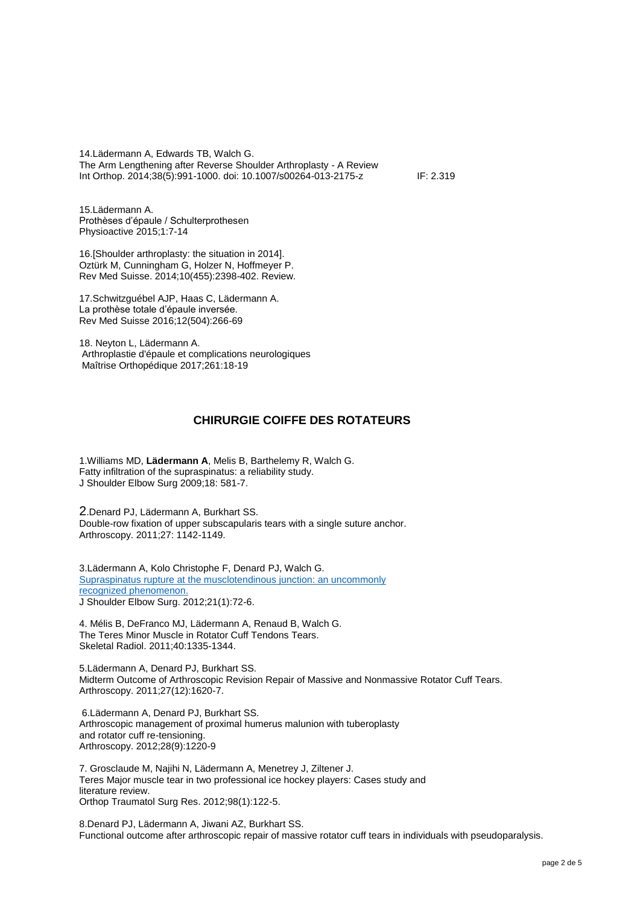14.Lädermann A, Edwards TB, Walch G. The Arm Lengthening after Reverse Shoulder Arthroplasty - A Review Int Orthop. 2014;38(5):991-1000. doi: 10.1007/s00264-013-2175-z IF: 2.319

15.Lädermann A. Prothèses d'épaule / Schulterprothesen Physioactive 2015;1:7-14

16.[Shoulder [arthroplasty: the situation in 2014\].](https://www.ncbi.nlm.nih.gov/pubmed/25752009) Oztürk M, Cunningham G, Holzer N, Hoffmeyer P. Rev Med Suisse. 2014;10(455):2398-402. Review.

17.Schwitzguébel AJP, Haas C, Lädermann A. La prothèse totale d'épaule inversée. Rev Med Suisse 2016;12(504):266-69

18. Neyton L, Lädermann A. Arthroplastie d'épaule et complications neurologiques Maîtrise Orthopédique 2017;261:18-19

## **CHIRURGIE COIFFE DES ROTATEURS**

1.Williams MD, **Lädermann A**, Melis B, Barthelemy R, Walch G. Fatty infiltration of the supraspinatus: a reliability study. J Shoulder Elbow Surg 2009;18: 581-7.

2.Denard PJ, Lädermann A, Burkhart SS. Double-row fixation of upper subscapularis tears with a single suture anchor. Arthroscopy. 2011;27: 1142-1149.

3.Lädermann A, Kolo Christophe F, Denard PJ, Walch G. [Supraspinatus rupture at the musclotendinous junction: an uncommonly](http://www.ncbi.nlm.nih.gov/pubmed/21398147) [recognized phenomenon.](http://www.ncbi.nlm.nih.gov/pubmed/21398147) J Shoulder Elbow Surg. 2012;21(1):72-6.

4. Mélis B, DeFranco MJ, Lädermann A, Renaud B, Walch G. The Teres Minor Muscle in Rotator Cuff Tendons Tears. Skeletal Radiol. 2011;40:1335-1344.

5.Lädermann A, Denard PJ, Burkhart SS. Midterm Outcome of Arthroscopic Revision Repair of Massive and Nonmassive Rotator Cuff Tears. Arthroscopy. 2011;27(12):1620-7.

6.Lädermann A, Denard PJ, Burkhart SS. Arthroscopic management of proximal humerus malunion with tuberoplasty and rotator cuff re-tensioning. Arthroscopy. 2012;28(9):1220-9

7. Grosclaude M, Najihi N, Lädermann A, Menetrey J, Ziltener J. Teres Major muscle tear in two professional ice hockey players: Cases study and literature review. Orthop Traumatol Surg Res. 2012;98(1):122-5.

8.Denard PJ, Lädermann A, Jiwani AZ, Burkhart SS. Functional outcome after arthroscopic repair of massive rotator cuff tears in individuals with pseudoparalysis.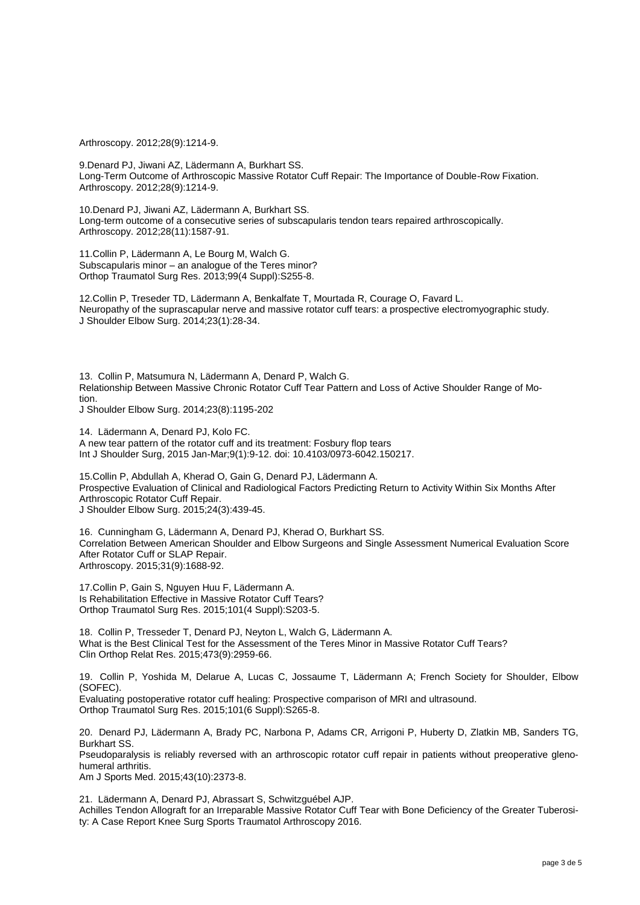Arthroscopy. 2012;28(9):1214-9.

9.Denard PJ, Jiwani AZ, Lädermann A, Burkhart SS. Long-Term Outcome of Arthroscopic Massive Rotator Cuff Repair: The Importance of Double-Row Fixation. Arthroscopy. 2012;28(9):1214-9.

10.Denard PJ, Jiwani AZ, Lädermann A, Burkhart SS. Long-term outcome of a consecutive series of subscapularis tendon tears repaired arthroscopically. Arthroscopy. 2012;28(11):1587-91.

11.Collin P, Lädermann A, Le Bourg M, Walch G. Subscapularis minor – an analogue of the Teres minor? Orthop Traumatol Surg Res. 2013;99(4 Suppl):S255-8.

12.Collin P, Treseder TD, Lädermann A, Benkalfate T, Mourtada R, Courage O, Favard L. Neuropathy of the suprascapular nerve and massive rotator cuff tears: a prospective electromyographic study. J Shoulder Elbow Surg. 2014;23(1):28-34.

13. Collin P, Matsumura N, Lädermann A, Denard P, Walch G. Relationship Between Massive Chronic Rotator Cuff Tear Pattern and Loss of Active Shoulder Range of Motion.

J Shoulder Elbow Surg. 2014;23(8):1195-202

14. Lädermann A, Denard PJ, Kolo FC. A new tear pattern of the rotator cuff and its treatment: Fosbury flop tears Int J Shoulder Surg, 2015 Jan-Mar;9(1):9-12. doi: 10.4103/0973-6042.150217.

15.Collin P, Abdullah A, Kherad O, Gain G, Denard PJ, Lädermann A. Prospective Evaluation of Clinical and Radiological Factors Predicting Return to Activity Within Six Months After Arthroscopic Rotator Cuff Repair. J Shoulder Elbow Surg. 2015;24(3):439-45.

16. Cunningham G, Lädermann A, Denard PJ, Kherad O, Burkhart SS. Correlation Between American Shoulder and Elbow Surgeons and Single Assessment Numerical Evaluation Score After Rotator Cuff or SLAP Repair. Arthroscopy. 2015;31(9):1688-92.

17.Collin P, Gain S, Nguyen Huu F, Lädermann A. Is Rehabilitation Effective in Massive Rotator Cuff Tears? Orthop Traumatol Surg Res. 2015;101(4 Suppl):S203-5.

18. Collin P, Tresseder T, Denard PJ, Neyton L, Walch G, Lädermann A. What is the Best Clinical Test for the Assessment of the Teres Minor in Massive Rotator Cuff Tears? Clin Orthop Relat Res. 2015;473(9):2959-66.

19. Collin P, Yoshida M, Delarue A, Lucas C, Jossaume T, Lädermann A; French Society for Shoulder, Elbow (SOFEC). Evaluating postoperative rotator cuff healing: Prospective comparison of MRI and ultrasound.

Orthop Traumatol Surg Res. 2015;101(6 Suppl):S265-8.

20. Denard PJ, Lädermann A, Brady PC, Narbona P, Adams CR, Arrigoni P, Huberty D, Zlatkin MB, Sanders TG, Burkhart SS.

Pseudoparalysis is reliably reversed with an arthroscopic rotator cuff repair in patients without preoperative glenohumeral arthritis.

Am J Sports Med. 2015;43(10):2373-8.

21. Lädermann A, Denard PJ, Abrassart S, Schwitzguébel AJP. Achilles Tendon Allograft for an Irreparable Massive Rotator Cuff Tear with Bone Deficiency of the Greater Tuberosity: A Case Report Knee Surg Sports Traumatol Arthroscopy 2016.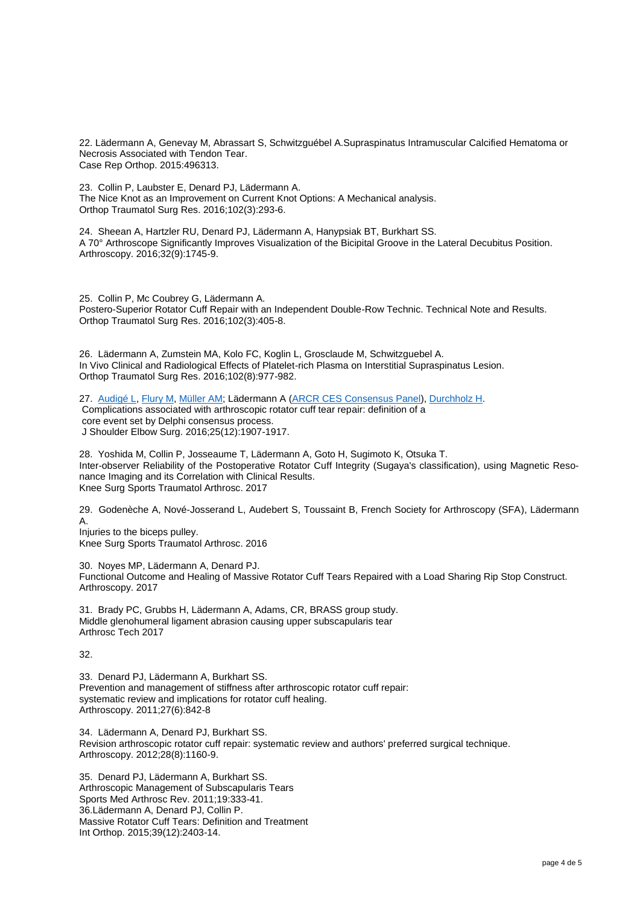22. Lädermann A, Genevay M, Abrassart S, Schwitzguébel A.Supraspinatus Intramuscular Calcified Hematoma or Necrosis Associated with Tendon Tear. Case Rep Orthop. 2015:496313.

23. Collin P, Laubster E, Denard PJ, Lädermann A. The Nice Knot as an Improvement on Current Knot Options: A Mechanical analysis. Orthop Traumatol Surg Res. 2016;102(3):293-6.

24. Sheean A, Hartzler RU, Denard PJ, Lädermann A, Hanypsiak BT, Burkhart SS. A 70° Arthroscope Significantly Improves Visualization of the Bicipital Groove in the Lateral Decubitus Position. Arthroscopy. 2016;32(9):1745-9.

25. Collin P, Mc Coubrey G, Lädermann A. Postero-Superior Rotator Cuff Repair with an Independent Double-Row Technic. Technical Note and Results. Orthop Traumatol Surg Res. 2016;102(3):405-8.

26. Lädermann A, Zumstein MA, Kolo FC, Koglin L, Grosclaude M, Schwitzguebel A. In Vivo Clinical and Radiological Effects of Platelet-rich Plasma on Interstitial Supraspinatus Lesion. Orthop Traumatol Surg Res. 2016;102(8):977-982.

27. [Audigé L,](http://www.ncbi.nlm.nih.gov/pubmed/?term=Audig%C3%A9%20L%5BAuthor%5D&cauthor=true&cauthor_uid=27496354) [Flury M,](http://www.ncbi.nlm.nih.gov/pubmed/?term=Flury%20M%5BAuthor%5D&cauthor=true&cauthor_uid=27496354) [Müller AM;](http://www.ncbi.nlm.nih.gov/pubmed/?term=M%C3%BCller%20AM%5BAuthor%5D&cauthor=true&cauthor_uid=27496354) Lädermann A [\(ARCR CES Consensus Panel\)](http://www.ncbi.nlm.nih.gov/pubmed/?term=ARCR%20CES%20Consensus%20Panel%5BCorporate%20Author%5D)[, Durchholz H.](http://www.ncbi.nlm.nih.gov/pubmed/?term=Durchholz%20H%5BAuthor%5D&cauthor=true&cauthor_uid=27496354) Complications associated with arthroscopic rotator cuff tear repair: definition of a core event set by Delphi consensus process. J Shoulder Elbow Surg. 2016;25(12):1907-1917.

28. Yoshida M, Collin P, Josseaume T, Lädermann A, Goto H, Sugimoto K, Otsuka T. Inter-observer Reliability of the Postoperative Rotator Cuff Integrity (Sugaya's classification), using Magnetic Resonance Imaging and its Correlation with Clinical Results. Knee Surg Sports Traumatol Arthrosc. 2017

29. Godenèche A, Nové-Josserand L, Audebert S, Toussaint B, French Society for Arthroscopy (SFA), Lädermann A. Injuries to the biceps pulley. Knee Surg Sports Traumatol Arthrosc. 2016

30. Noyes MP, Lädermann A, Denard PJ. Functional Outcome and Healing of Massive Rotator Cuff Tears Repaired with a Load Sharing Rip Stop Construct. Arthroscopy. 2017

31. Brady PC, Grubbs H, Lädermann A, Adams, CR, BRASS group study. Middle glenohumeral ligament abrasion causing upper subscapularis tear Arthrosc Tech 2017

32.

33. Denard PJ, Lädermann A, Burkhart SS. Prevention and management of stiffness after arthroscopic rotator cuff repair: systematic review and implications for rotator cuff healing. Arthroscopy. 2011;27(6):842-8

34. Lädermann A, Denard PJ, Burkhart SS. Revision arthroscopic rotator cuff repair: systematic review and authors' preferred surgical technique. Arthroscopy. 2012;28(8):1160-9.

35. Denard PJ, Lädermann A, Burkhart SS. Arthroscopic Management of Subscapularis Tears Sports Med Arthrosc Rev. 2011;19:333-41. 36.Lädermann A, Denard PJ, Collin P. Massive Rotator Cuff Tears: Definition and Treatment Int Orthop. 2015;39(12):2403-14.